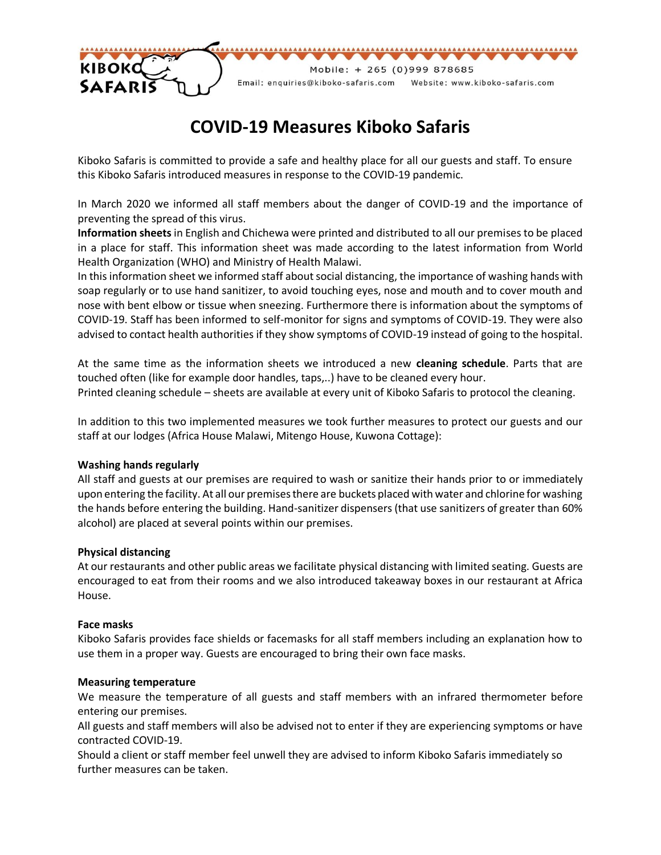

# **COVID-19 Measures Kiboko Safaris**

Kiboko Safaris is committed to provide a safe and healthy place for all our guests and staff. To ensure this Kiboko Safaris introduced measures in response to the COVID-19 pandemic.

In March 2020 we informed all staff members about the danger of COVID-19 and the importance of preventing the spread of this virus.

**Information sheets** in English and Chichewa were printed and distributed to all our premises to be placed in a place for staff. This information sheet was made according to the latest information from World Health Organization (WHO) and Ministry of Health Malawi.

In this information sheet we informed staff about social distancing, the importance of washing hands with soap regularly or to use hand sanitizer, to avoid touching eyes, nose and mouth and to cover mouth and nose with bent elbow or tissue when sneezing. Furthermore there is information about the symptoms of COVID-19. Staff has been informed to self-monitor for signs and symptoms of COVID-19. They were also advised to contact health authorities if they show symptoms of COVID-19 instead of going to the hospital.

At the same time as the information sheets we introduced a new **cleaning schedule**. Parts that are touched often (like for example door handles, taps,..) have to be cleaned every hour. Printed cleaning schedule – sheets are available at every unit of Kiboko Safaris to protocol the cleaning.

In addition to this two implemented measures we took further measures to protect our guests and our staff at our lodges (Africa House Malawi, Mitengo House, Kuwona Cottage):

### **Washing hands regularly**

All staff and guests at our premises are required to wash or sanitize their hands prior to or immediately upon entering the facility. At all our premises there are buckets placed with water and chlorine for washing the hands before entering the building. Hand-sanitizer dispensers (that use sanitizers of greater than 60% alcohol) are placed at several points within our premises.

### **Physical distancing**

At our restaurants and other public areas we facilitate physical distancing with limited seating. Guests are encouraged to eat from their rooms and we also introduced takeaway boxes in our restaurant at Africa House.

### **Face masks**

Kiboko Safaris provides face shields or facemasks for all staff members including an explanation how to use them in a proper way. Guests are encouraged to bring their own face masks.

### **Measuring temperature**

We measure the temperature of all guests and staff members with an infrared thermometer before entering our premises.

All guests and staff members will also be advised not to enter if they are experiencing symptoms or have contracted COVID-19.

Should a client or staff member feel unwell they are advised to inform Kiboko Safaris immediately so further measures can be taken.